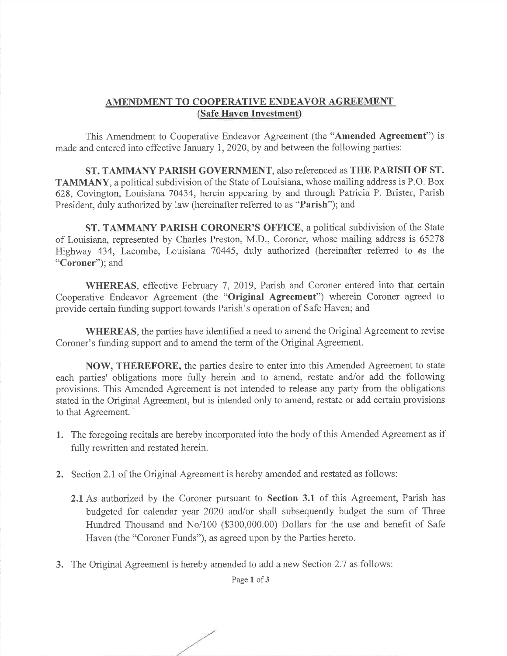## AMENDMENT TO COOPERATIVE ENDEAVOR AGREEMENT(Safe Haven Investment)

This Amendment to Cooperative Endeavor Agreement (the "Amended Agreement") is made and entered into effective January 1,2020, by and between the following parties:

ST. TAMMANY PARISH GOVERNMENT, also referenced as THE PARISH OF ST. TAMMANY, a political subdivision of the State of Louisiana, whose mailing address is P.O. Box 628, Covington, Louisiana 70434, herein appearing by and through Patricia P. Brister, ParishPresident, duly authorized by law (hereinafter referred to as "Parish"); and

ST. TAMMANY PARISH CORONER'S OFFICE, a political subdivision of the State of Louisiana, represented by Charles Preston, M.D., Coroner, whose mailing address is 65278 Highway 434, Lacombe, Louisiana 70445, duly authorized (hereinafter referred to as the"Coroner"); and

WHEREAS, effective February 7, 2019, Parish and Coroner entered into that certain Cooperative Endeavor Agreement (the "**Original Agreement**") wherein Coroner agreed to provide certain funding support towards Parish's operation of Safe Haven; and

WHEREAS, the parties have identified a need to amend the Original Agreement to reviseCoroner's funding support and to amend the term of the Original Agreement.

NOW, THEREFORE, the parties desire to enter into this Amended Agreement to state each parties' obligations more fully herein and to amend, restate and/or add the following provisions. This Amended Agreement is not intended to release any party from the obligations stated in the Original Agreement, but is intended only to amend, restate or add certain provisionsto that Agreement.

- 1. The foregoing recitals are hereby incorporated into the body of this Amended Agreement as iffully rewritten and restated herein.
- 2. Section 2.1 of the Original Agreement is hereby amended and restated as follows:
	- 2.1 As authorized by the Coroner pursuant to Section 3.1 of this Agreement, Parish has budgeted for calendar year 2020 and/or shall subsequently budget the sum of Three Hundred Thousand and No/100 (\$300,000.00) Dollars for the use and benefit of SafeHaven (the "Coroner Funds"), as agreed upon by the Parties hereto.
- 3. The Original Agreement is hereby amended to add a new Section 2.7 as follows:

Page 1 of 3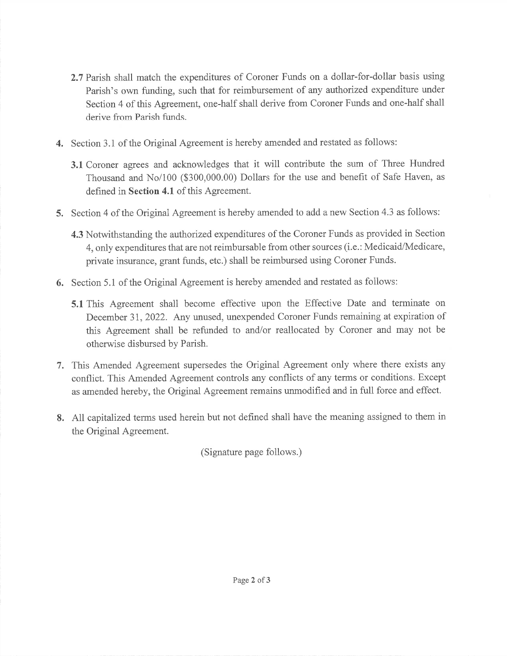- 2.7 Parish shall match the expenditures of Coroner Funds on a dollar-for-dollar basis usingParish's own funding, such that for reimbursement of any authorized expenditure under Section 4 of this Agreement, one-half shall derive from Coroner Funds and one-half shall derive from Parish funds.
- 4. Section 3.1 of the Original Agreement is hereby amended and restated as follows:
	- 3.L Coroner agrees and acknowledges that it will contribute the sum of Three Hundred Thousand and No/100 (\$300,000.00) Dollars for the use and benefit of Safe Haven, asdefined in Section 4.1 of this Agreement.
- 5. Section 4 of the Original Agreement is hereby amended to add a new Section 4.3 as follows:
	- 4.3 Notwithstanding the authorized expenditures of the Coroner Funds as provided in Section 4, only expenditures that are not reimbursable from other sources (i.e.: Medicaid/Medicare, private insurance, grant funds, etc.) shall be reimbursed using Coroner Funds.
- 6. Section 5.1 of the Original Agreement is hereby amended and restated as foliows:
	- 5.1 This Agreement shall become effective upon the Effective Date and terminate on December 31,2022. Any unused, unexpended Coroner Funds remaining at expiration ofthis Agreement shall be refunded to and/or reallocated by Coroner and may not be otherwise disbursed by Parish.
- 7. This Amended Agreement supersedes the Original Agreement only where there exists any conflict. This Amended Agreement controls any conflicts of any terms or conditions. Except as amended hereby, the Original Agreement remains unmodified and in full force and effect.
- 8. All capitalized terms used herein but not defined shall have the meaning assigned to them inthe Original Agreement.

(Signature page follows.)